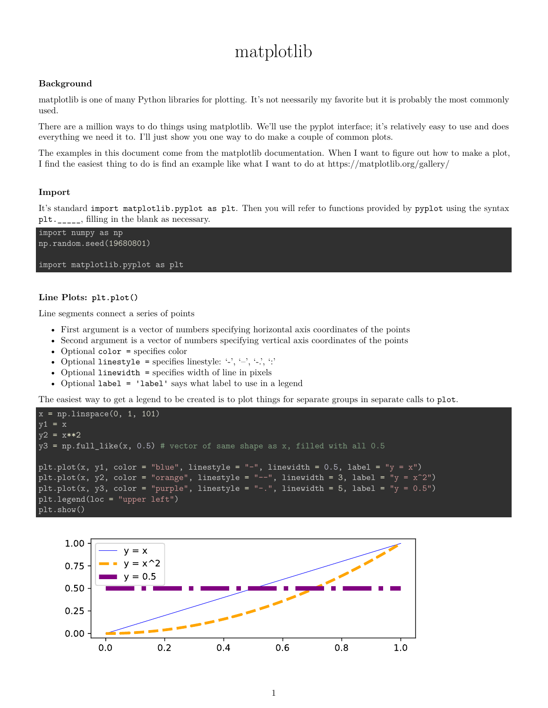# matplotlib

## **Background**

matplotlib is one of many Python libraries for plotting. It's not neessarily my favorite but it is probably the most commonly used.

There are a million ways to do things using matplotlib. We'll use the pyplot interface; it's relatively easy to use and does everything we need it to. I'll just show you one way to do make a couple of common plots.

The examples in this document come from the matplotlib documentation. When I want to figure out how to make a plot, I find the easiest thing to do is find an example like what I want to do at<https://matplotlib.org/gallery/>

### **Import**

It's standard import matplotlib.pyplot as plt. Then you will refer to functions provided by pyplot using the syntax plt.  $\Box$ , filling in the blank as necessary.



### **Line Plots: plt.plot()**

Line segments connect a series of points

- First argument is a vector of numbers specifying horizontal axis coordinates of the points
- Second argument is a vector of numbers specifying vertical axis coordinates of the points
- Optional color = specifies color
- Optional linestyle = specifies linestyle: '-', '-', '-', ':'
- Optional linewidth = specifies width of line in pixels
- Optional label = 'label' says what label to use in a legend

The easiest way to get a legend to be created is to plot things for separate groups in separate calls to plot.

```
x = npuinspace(0, 1, 101)
y1 = xy2 = x**2y3 = np簡llllike(x, 0.5) # vector of same shape as x, filled with all 0.5
plt.plot(x, y1, color = "blue", linestyle = "-", linewidth = 0.5, label = "y = x")
plt.plot(x, y2, color = "orange", linestyle = "--", linewidth = 3, label = "y = x^2")
plt.plot(x, y3, color = "purple", linestyle = "-.", linewidth = 5, label = "y = 0.5")
plt.legend(loc = "upper left")
plt.show()
```